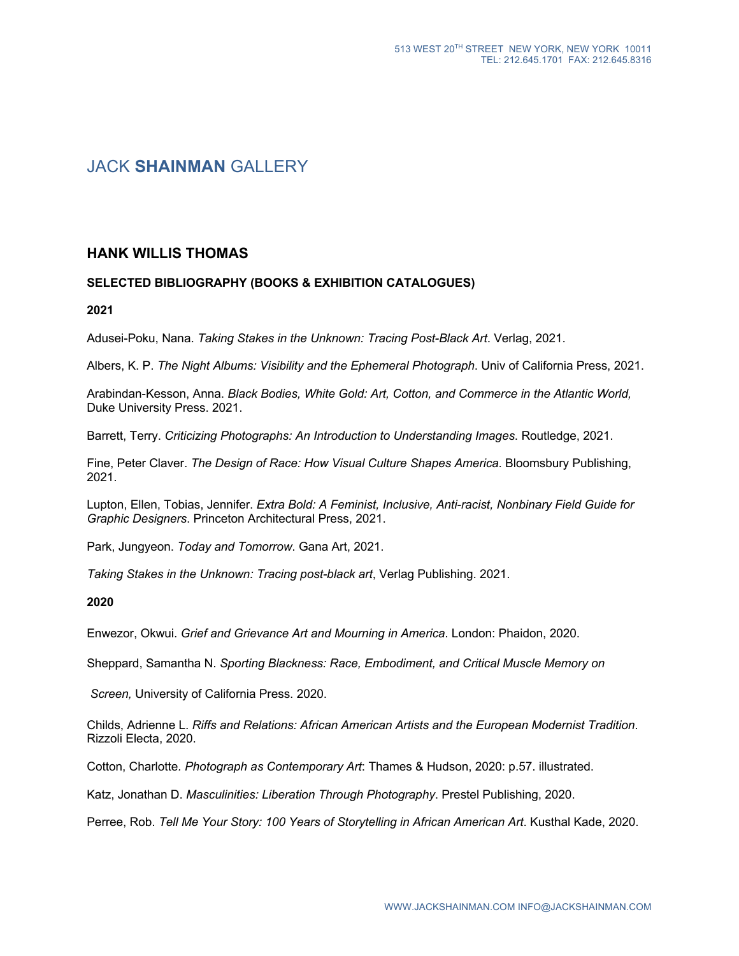# JACK **SHAINMAN** GALLERY

# **HANK WILLIS THOMAS**

# **SELECTED BIBLIOGRAPHY (BOOKS & EXHIBITION CATALOGUES)**

**2021**

Adusei-Poku, Nana. *Taking Stakes in the Unknown: Tracing Post-Black Art*. Verlag, 2021.

Albers, K. P. *The Night Albums: Visibility and the Ephemeral Photograph*. Univ of California Press, 2021.

Arabindan-Kesson, Anna. *Black Bodies, White Gold: Art, Cotton, and Commerce in the Atlantic World,*  Duke University Press. 2021.

Barrett, Terry. *Criticizing Photographs: An Introduction to Understanding Images*. Routledge, 2021.

Fine, Peter Claver. *The Design of Race: How Visual Culture Shapes America*. Bloomsbury Publishing, 2021.

Lupton, Ellen, Tobias, Jennifer. *Extra Bold: A Feminist, Inclusive, Anti-racist, Nonbinary Field Guide for Graphic Designers*. Princeton Architectural Press, 2021.

Park, Jungyeon. *Today and Tomorrow*. Gana Art, 2021.

*Taking Stakes in the Unknown: Tracing post-black art*, Verlag Publishing. 2021.

**2020**

Enwezor, Okwui. *Grief and Grievance Art and Mourning in America*. London: Phaidon, 2020.

Sheppard, Samantha N. *Sporting Blackness: Race, Embodiment, and Critical Muscle Memory on*

*Screen,* University of California Press. 2020.

Childs, Adrienne L. *Riffs and Relations: African American Artists and the European Modernist Tradition*. Rizzoli Electa, 2020.

Cotton, Charlotte*. Photograph as Contemporary Art*: Thames & Hudson, 2020: p.57. illustrated.

Katz, Jonathan D. *Masculinities: Liberation Through Photography*. Prestel Publishing, 2020.

Perree, Rob. *Tell Me Your Story: 100 Years of Storytelling in African American Art*. Kusthal Kade, 2020.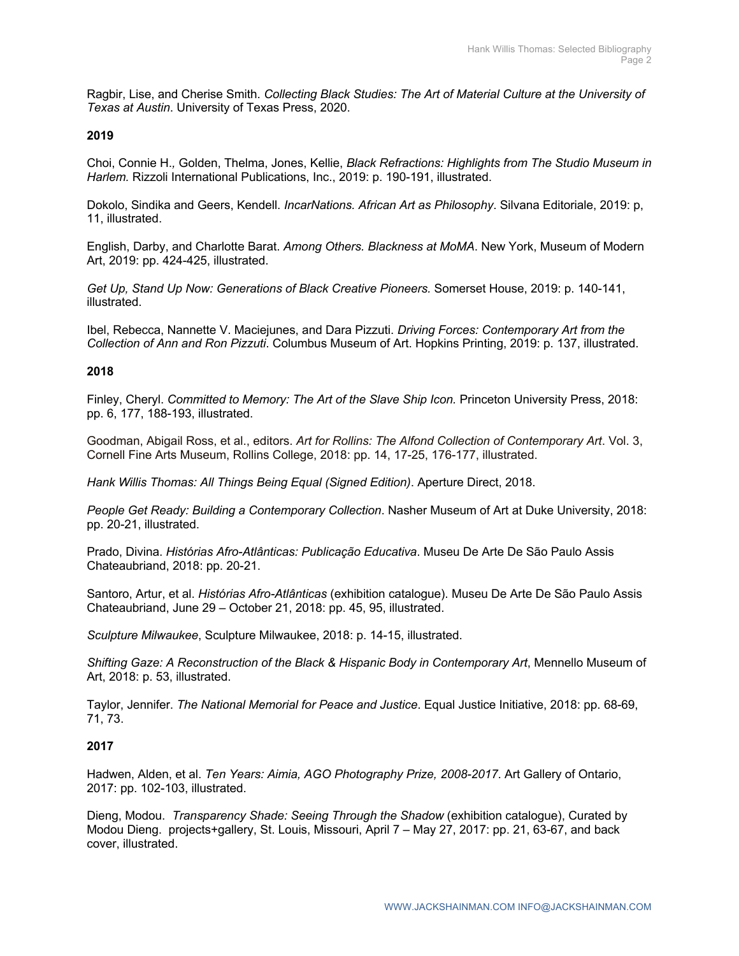Ragbir, Lise, and Cherise Smith. *Collecting Black Studies: The Art of Material Culture at the University of Texas at Austin*. University of Texas Press, 2020.

### **2019**

Choi, Connie H.*,* Golden, Thelma, Jones, Kellie, *Black Refractions: Highlights from The Studio Museum in Harlem.* Rizzoli International Publications, Inc., 2019: p. 190-191, illustrated.

Dokolo, Sindika and Geers, Kendell. *IncarNations. African Art as Philosophy*. Silvana Editoriale, 2019: p, 11, illustrated.

English, Darby, and Charlotte Barat. *Among Others. Blackness at MoMA*. New York, Museum of Modern Art, 2019: pp. 424-425, illustrated.

*Get Up, Stand Up Now: Generations of Black Creative Pioneers.* Somerset House, 2019: p. 140-141, illustrated.

Ibel, Rebecca, Nannette V. Maciejunes, and Dara Pizzuti. *Driving Forces: Contemporary Art from the Collection of Ann and Ron Pizzuti*. Columbus Museum of Art. Hopkins Printing, 2019: p. 137, illustrated.

#### **2018**

Finley, Cheryl. *Committed to Memory: The Art of the Slave Ship Icon.* Princeton University Press, 2018: pp. 6, 177, 188-193, illustrated.

Goodman, Abigail Ross, et al., editors. *Art for Rollins: The Alfond Collection of Contemporary Art*. Vol. 3, Cornell Fine Arts Museum, Rollins College, 2018: pp. 14, 17-25, 176-177, illustrated.

*Hank Willis Thomas: All Things Being Equal (Signed Edition)*. Aperture Direct, 2018.

*People Get Ready: Building a Contemporary Collection*. Nasher Museum of Art at Duke University, 2018: pp. 20-21, illustrated.

Prado, Divina. *Histórias Afro-Atlânticas: Publicação Educativa*. Museu De Arte De São Paulo Assis Chateaubriand, 2018: pp. 20-21.

Santoro, Artur, et al. *Histórias Afro-Atlânticas* (exhibition catalogue). Museu De Arte De São Paulo Assis Chateaubriand, June 29 – October 21, 2018: pp. 45, 95, illustrated.

*Sculpture Milwaukee*, Sculpture Milwaukee, 2018: p. 14-15, illustrated.

*Shifting Gaze: A Reconstruction of the Black & Hispanic Body in Contemporary Art*, Mennello Museum of Art, 2018: p. 53, illustrated.

Taylor, Jennifer. *The National Memorial for Peace and Justice*. Equal Justice Initiative, 2018: pp. 68-69, 71, 73.

#### **2017**

Hadwen, Alden, et al. *Ten Years: Aimia, AGO Photography Prize, 2008-2017*. Art Gallery of Ontario, 2017: pp. 102-103, illustrated.

Dieng, Modou. *Transparency Shade: Seeing Through the Shadow* (exhibition catalogue), Curated by Modou Dieng. projects+gallery, St. Louis, Missouri, April 7 – May 27, 2017: pp. 21, 63-67, and back cover, illustrated.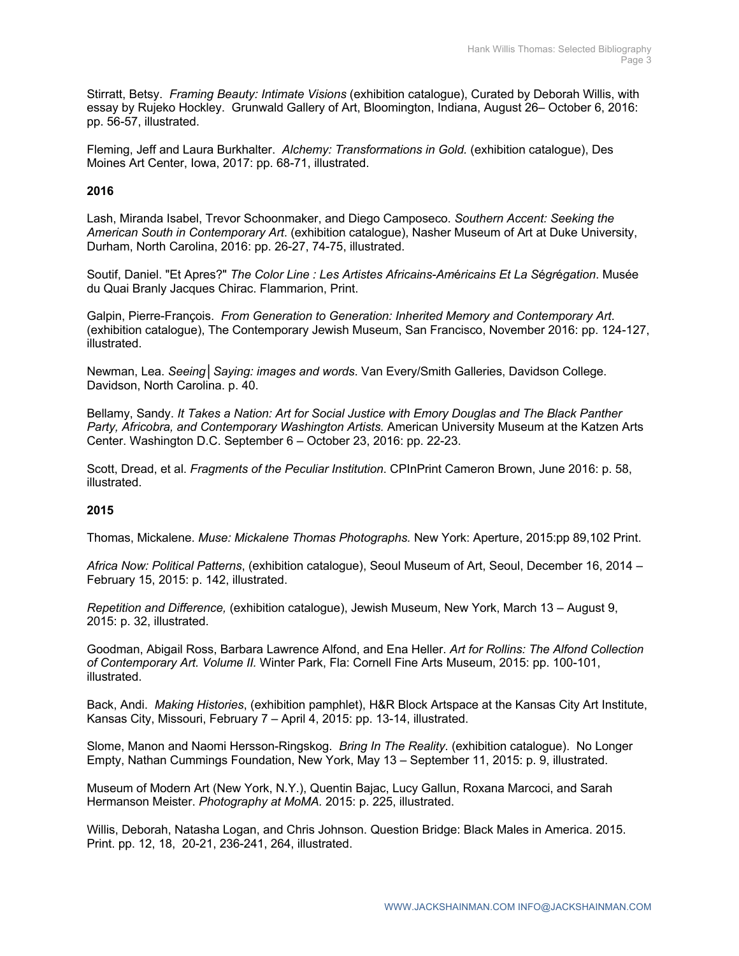Stirratt, Betsy. *Framing Beauty: Intimate Visions* (exhibition catalogue), Curated by Deborah Willis, with essay by Rujeko Hockley. Grunwald Gallery of Art, Bloomington, Indiana, August 26– October 6, 2016: pp. 56-57, illustrated.

Fleming, Jeff and Laura Burkhalter. *Alchemy: Transformations in Gold.* (exhibition catalogue), Des Moines Art Center, Iowa, 2017: pp. 68-71, illustrated.

# **2016**

Lash, Miranda Isabel, Trevor Schoonmaker, and Diego Camposeco. *Southern Accent: Seeking the American South in Contemporary Art*. (exhibition catalogue), Nasher Museum of Art at Duke University, Durham, North Carolina, 2016: pp. 26-27, 74-75, illustrated.

Soutif, Daniel. "Et Apres?" *The Color Line : Les Artistes Africains-Am*é*ricains Et La S*é*gr*é*gation*. Musée du Quai Branly Jacques Chirac. Flammarion, Print.

Galpin, Pierre-François. *From Generation to Generation: Inherited Memory and Contemporary Art*. (exhibition catalogue), The Contemporary Jewish Museum, San Francisco, November 2016: pp. 124-127, illustrated.

Newman, Lea. *Seeing│Saying: images and words*. Van Every/Smith Galleries, Davidson College. Davidson, North Carolina. p. 40.

Bellamy, Sandy. *It Takes a Nation: Art for Social Justice with Emory Douglas and The Black Panther Party, Africobra, and Contemporary Washington Artists.* American University Museum at the Katzen Arts Center. Washington D.C. September 6 – October 23, 2016: pp. 22-23.

Scott, Dread, et al. *Fragments of the Peculiar Institution*. CPInPrint Cameron Brown, June 2016: p. 58, illustrated.

#### **2015**

Thomas, Mickalene. *Muse: Mickalene Thomas Photographs.* New York: Aperture, 2015:pp 89,102 Print.

*Africa Now: Political Patterns*, (exhibition catalogue), Seoul Museum of Art, Seoul, December 16, 2014 – February 15, 2015: p. 142, illustrated.

*Repetition and Difference,* (exhibition catalogue), Jewish Museum, New York, March 13 – August 9, 2015: p. 32, illustrated.

Goodman, Abigail Ross, Barbara Lawrence Alfond, and Ena Heller. *Art for Rollins: The Alfond Collection of Contemporary Art. Volume II.* Winter Park, Fla: Cornell Fine Arts Museum, 2015: pp. 100-101, illustrated.

Back, Andi. *Making Histories*, (exhibition pamphlet), H&R Block Artspace at the Kansas City Art Institute, Kansas City, Missouri, February 7 – April 4, 2015: pp. 13-14, illustrated.

Slome, Manon and Naomi Hersson-Ringskog. *Bring In The Reality*. (exhibition catalogue). No Longer Empty, Nathan Cummings Foundation, New York, May 13 – September 11, 2015: p. 9, illustrated.

Museum of Modern Art (New York, N.Y.), Quentin Bajac, Lucy Gallun, Roxana Marcoci, and Sarah Hermanson Meister. *Photography at MoMA.* 2015: p. 225, illustrated.

Willis, Deborah, Natasha Logan, and Chris Johnson. Question Bridge: Black Males in America. 2015. Print. pp. 12, 18, 20-21, 236-241, 264, illustrated.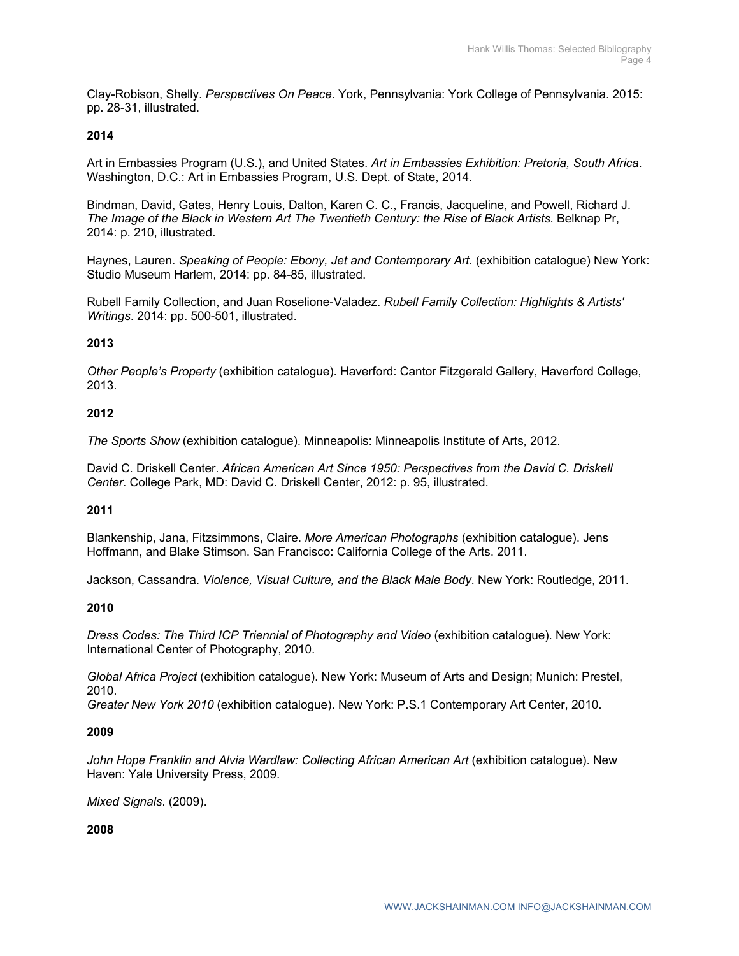Clay-Robison, Shelly. *Perspectives On Peace*. York, Pennsylvania: York College of Pennsylvania. 2015: pp. 28-31, illustrated.

# **2014**

Art in Embassies Program (U.S.), and United States. *Art in Embassies Exhibition: Pretoria, South Africa*. Washington, D.C.: Art in Embassies Program, U.S. Dept. of State, 2014.

Bindman, David, Gates, Henry Louis, Dalton, Karen C. C., Francis, Jacqueline, and Powell, Richard J. *The Image of the Black in Western Art The Twentieth Century: the Rise of Black Artists.* Belknap Pr, 2014: p. 210, illustrated.

Haynes, Lauren. *Speaking of People: Ebony, Jet and Contemporary Art*. (exhibition catalogue) New York: Studio Museum Harlem, 2014: pp. 84-85, illustrated.

Rubell Family Collection, and Juan Roselione-Valadez. *Rubell Family Collection: Highlights & Artists' Writings*. 2014: pp. 500-501, illustrated.

# **2013**

*Other People's Property* (exhibition catalogue). Haverford: Cantor Fitzgerald Gallery, Haverford College, 2013.

#### **2012**

*The Sports Show* (exhibition catalogue). Minneapolis: Minneapolis Institute of Arts, 2012.

David C. Driskell Center. *African American Art Since 1950: Perspectives from the David C. Driskell Center*. College Park, MD: David C. Driskell Center, 2012: p. 95, illustrated.

#### **2011**

Blankenship, Jana, Fitzsimmons, Claire. *More American Photographs* (exhibition catalogue). Jens Hoffmann, and Blake Stimson. San Francisco: California College of the Arts. 2011.

Jackson, Cassandra. *Violence, Visual Culture, and the Black Male Body*. New York: Routledge, 2011.

#### **2010**

*Dress Codes: The Third ICP Triennial of Photography and Video* (exhibition catalogue). New York: International Center of Photography, 2010.

*Global Africa Project* (exhibition catalogue). New York: Museum of Arts and Design; Munich: Prestel, 2010.

*Greater New York 2010* (exhibition catalogue). New York: P.S.1 Contemporary Art Center, 2010.

#### **2009**

*John Hope Franklin and Alvia Wardlaw: Collecting African American Art* (exhibition catalogue). New Haven: Yale University Press, 2009.

*Mixed Signals*. (2009).

**2008**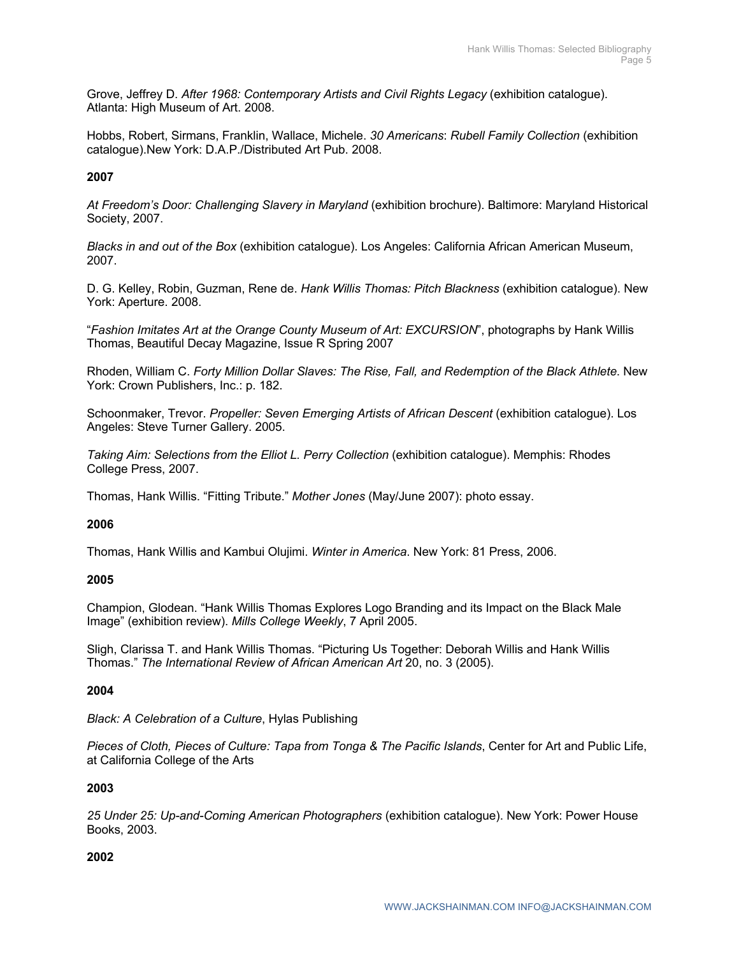Grove, Jeffrey D. After 1968: Contemporary Artists and Civil Rights Legacy (exhibition catalogue). Atlanta: High Museum of Art. 2008.

Hobbs, Robert, Sirmans, Franklin, Wallace, Michele. *30 Americans*: *Rubell Family Collection* (exhibition catalogue).New York: D.A.P./Distributed Art Pub. 2008.

# **2007**

*At Freedom's Door: Challenging Slavery in Maryland* (exhibition brochure). Baltimore: Maryland Historical Society, 2007.

*Blacks in and out of the Box* (exhibition catalogue). Los Angeles: California African American Museum, 2007.

D. G. Kelley, Robin, Guzman, Rene de. *Hank Willis Thomas: Pitch Blackness* (exhibition catalogue). New York: Aperture. 2008.

"*Fashion Imitates Art at the Orange County Museum of Art: EXCURSION*", photographs by Hank Willis Thomas, Beautiful Decay Magazine, Issue R Spring 2007

Rhoden, William C. *Forty Million Dollar Slaves: The Rise, Fall, and Redemption of the Black Athlete*. New York: Crown Publishers, Inc.: p. 182.

Schoonmaker, Trevor. *Propeller: Seven Emerging Artists of African Descent* (exhibition catalogue). Los Angeles: Steve Turner Gallery. 2005.

*Taking Aim: Selections from the Elliot L. Perry Collection (exhibition catalogue). Memphis: Rhodes* College Press, 2007.

Thomas, Hank Willis. "Fitting Tribute." *Mother Jones* (May/June 2007): photo essay.

### **2006**

Thomas, Hank Willis and Kambui Olujimi. *Winter in America*. New York: 81 Press, 2006.

#### **2005**

Champion, Glodean. "Hank Willis Thomas Explores Logo Branding and its Impact on the Black Male Image" (exhibition review). *Mills College Weekly*, 7 April 2005.

Sligh, Clarissa T. and Hank Willis Thomas. "Picturing Us Together: Deborah Willis and Hank Willis Thomas." *The International Review of African American Art* 20, no. 3 (2005).

#### **2004**

*Black: A Celebration of a Culture*, Hylas Publishing

*Pieces of Cloth, Pieces of Culture: Tapa from Tonga & The Pacific Islands*, Center for Art and Public Life, at California College of the Arts

#### **2003**

*25 Under 25: Up-and-Coming American Photographers* (exhibition catalogue). New York: Power House Books, 2003.

#### **2002**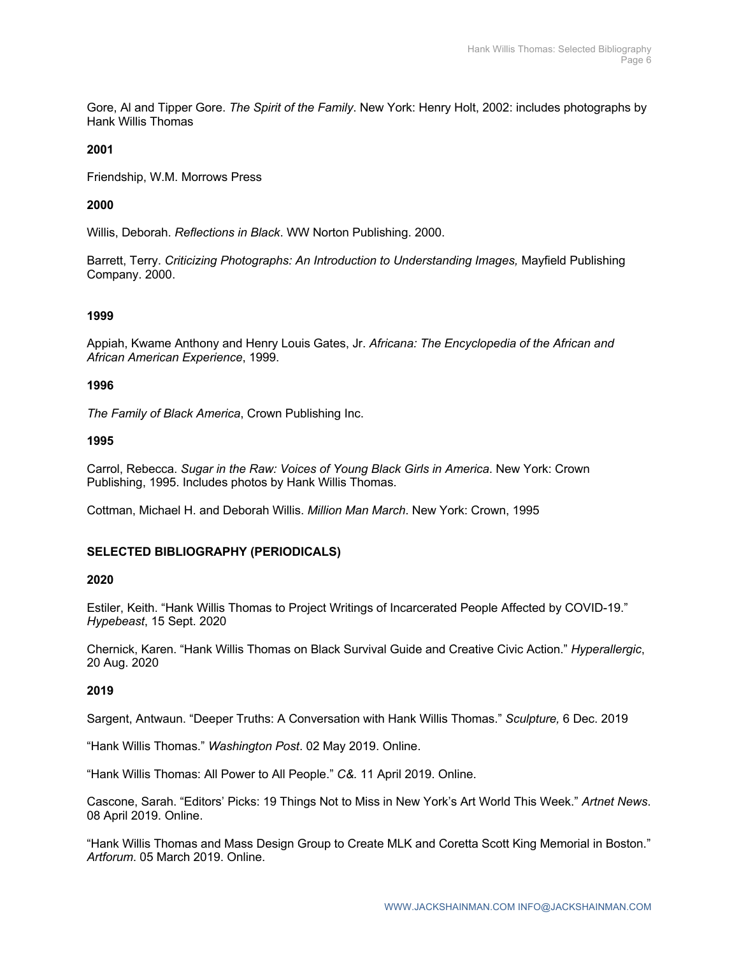Gore, Al and Tipper Gore. *The Spirit of the Family*. New York: Henry Holt, 2002: includes photographs by Hank Willis Thomas

# **2001**

Friendship, W.M. Morrows Press

# **2000**

Willis, Deborah. *Reflections in Black*. WW Norton Publishing. 2000.

Barrett, Terry. *Criticizing Photographs: An Introduction to Understanding Images,* Mayfield Publishing Company. 2000.

# **1999**

Appiah, Kwame Anthony and Henry Louis Gates, Jr. *Africana: The Encyclopedia of the African and African American Experience*, 1999.

#### **1996**

*The Family of Black America*, Crown Publishing Inc.

#### **1995**

Carrol, Rebecca. *Sugar in the Raw: Voices of Young Black Girls in America*. New York: Crown Publishing, 1995. Includes photos by Hank Willis Thomas.

Cottman, Michael H. and Deborah Willis. *Million Man March*. New York: Crown, 1995

#### **SELECTED BIBLIOGRAPHY (PERIODICALS)**

#### **2020**

Estiler, Keith. "Hank Willis Thomas to Project Writings of Incarcerated People Affected by COVID-19." *Hypebeast*, 15 Sept. 2020

Chernick, Karen. "Hank Willis Thomas on Black Survival Guide and Creative Civic Action." *Hyperallergic*, 20 Aug. 2020

#### **2019**

Sargent, Antwaun. "Deeper Truths: A Conversation with Hank Willis Thomas." *Sculpture,* 6 Dec. 2019

"Hank Willis Thomas." *Washington Post*. 02 May 2019. Online.

"Hank Willis Thomas: All Power to All People." *C&.* 11 April 2019. Online.

Cascone, Sarah. "Editors' Picks: 19 Things Not to Miss in New York's Art World This Week." *Artnet News*. 08 April 2019. Online.

"Hank Willis Thomas and Mass Design Group to Create MLK and Coretta Scott King Memorial in Boston." *Artforum*. 05 March 2019. Online.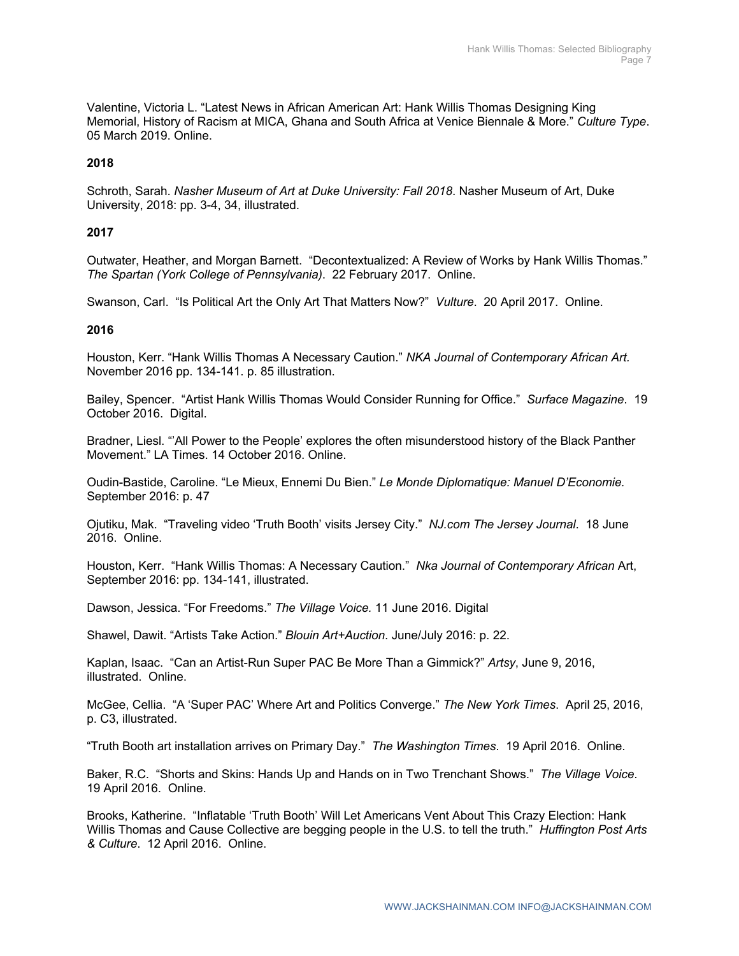Valentine, Victoria L. "Latest News in African American Art: Hank Willis Thomas Designing King Memorial, History of Racism at MICA, Ghana and South Africa at Venice Biennale & More." *Culture Type*. 05 March 2019. Online.

### **2018**

Schroth, Sarah. *Nasher Museum of Art at Duke University: Fall 2018*. Nasher Museum of Art, Duke University, 2018: pp. 3-4, 34, illustrated.

### **2017**

Outwater, Heather, and Morgan Barnett. "Decontextualized: A Review of Works by Hank Willis Thomas." *The Spartan (York College of Pennsylvania)*. 22 February 2017. Online.

Swanson, Carl. "Is Political Art the Only Art That Matters Now?" *Vulture*. 20 April 2017. Online.

#### **2016**

Houston, Kerr. "Hank Willis Thomas A Necessary Caution." *NKA Journal of Contemporary African Art.* November 2016 pp. 134-141. p. 85 illustration.

Bailey, Spencer. "Artist Hank Willis Thomas Would Consider Running for Office." *Surface Magazine*. 19 October 2016. Digital.

Bradner, Liesl. "'All Power to the People' explores the often misunderstood history of the Black Panther Movement." LA Times. 14 October 2016. Online.

Oudin-Bastide, Caroline. "Le Mieux, Ennemi Du Bien." *Le Monde Diplomatique: Manuel D'Economie.* September 2016: p. 47

Ojutiku, Mak. "Traveling video 'Truth Booth' visits Jersey City." *NJ.com The Jersey Journal*. 18 June 2016. Online.

Houston, Kerr. "Hank Willis Thomas: A Necessary Caution." *Nka Journal of Contemporary African* Art, September 2016: pp. 134-141, illustrated.

Dawson, Jessica. "For Freedoms." *The Village Voice.* 11 June 2016. Digital

Shawel, Dawit. "Artists Take Action." *Blouin Art+Auction*. June/July 2016: p. 22.

Kaplan, Isaac. "Can an Artist-Run Super PAC Be More Than a Gimmick?" *Artsy*, June 9, 2016, illustrated. Online.

McGee, Cellia. "A 'Super PAC' Where Art and Politics Converge." *The New York Times*. April 25, 2016, p. C3, illustrated.

"Truth Booth art installation arrives on Primary Day." *The Washington Times*. 19 April 2016. Online.

Baker, R.C. "Shorts and Skins: Hands Up and Hands on in Two Trenchant Shows." *The Village Voice*. 19 April 2016. Online.

Brooks, Katherine. "Inflatable 'Truth Booth' Will Let Americans Vent About This Crazy Election: Hank Willis Thomas and Cause Collective are begging people in the U.S. to tell the truth." *Huffington Post Arts & Culture*. 12 April 2016. Online.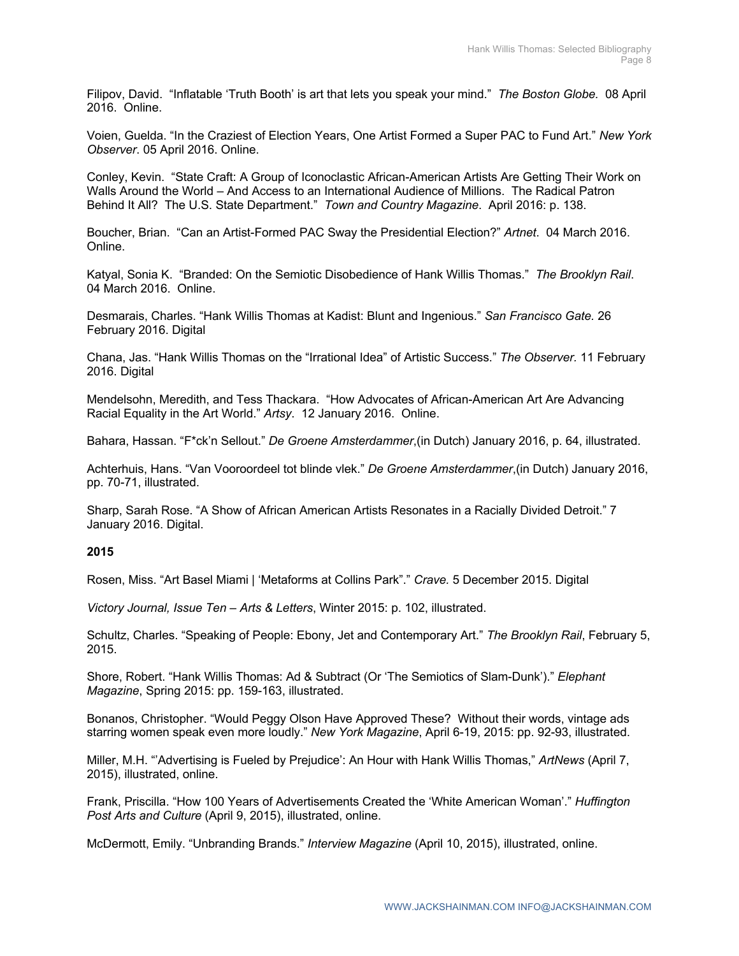Filipov, David. "Inflatable 'Truth Booth' is art that lets you speak your mind." *The Boston Globe.* 08 April 2016. Online.

Voien, Guelda. "In the Craziest of Election Years, One Artist Formed a Super PAC to Fund Art." *New York Observer*. 05 April 2016. Online.

Conley, Kevin. "State Craft: A Group of Iconoclastic African-American Artists Are Getting Their Work on Walls Around the World – And Access to an International Audience of Millions. The Radical Patron Behind It All? The U.S. State Department." *Town and Country Magazine*. April 2016: p. 138.

Boucher, Brian. "Can an Artist-Formed PAC Sway the Presidential Election?" *Artnet*. 04 March 2016. Online.

Katyal, Sonia K. "Branded: On the Semiotic Disobedience of Hank Willis Thomas." *The Brooklyn Rail*. 04 March 2016. Online.

Desmarais, Charles. "Hank Willis Thomas at Kadist: Blunt and Ingenious." *San Francisco Gate.* 26 February 2016. Digital

Chana, Jas. "Hank Willis Thomas on the "Irrational Idea" of Artistic Success." *The Observer.* 11 February 2016. Digital

Mendelsohn, Meredith, and Tess Thackara. "How Advocates of African-American Art Are Advancing Racial Equality in the Art World." *Artsy*. 12 January 2016. Online.

Bahara, Hassan. "F\*ck'n Sellout." *De Groene Amsterdammer*,(in Dutch) January 2016, p. 64, illustrated.

Achterhuis, Hans. "Van Vooroordeel tot blinde vlek." *De Groene Amsterdammer*,(in Dutch) January 2016, pp. 70-71, illustrated.

Sharp, Sarah Rose. "A Show of African American Artists Resonates in a Racially Divided Detroit." 7 January 2016. Digital.

#### **2015**

Rosen, Miss. "Art Basel Miami | 'Metaforms at Collins Park"." *Crave.* 5 December 2015. Digital

*Victory Journal, Issue Ten – Arts & Letters*, Winter 2015: p. 102, illustrated.

Schultz, Charles. "Speaking of People: Ebony, Jet and Contemporary Art." *The Brooklyn Rail*, February 5, 2015.

Shore, Robert. "Hank Willis Thomas: Ad & Subtract (Or 'The Semiotics of Slam-Dunk')." *Elephant Magazine*, Spring 2015: pp. 159-163, illustrated.

Bonanos, Christopher. "Would Peggy Olson Have Approved These? Without their words, vintage ads starring women speak even more loudly." *New York Magazine*, April 6-19, 2015: pp. 92-93, illustrated.

Miller, M.H. "'Advertising is Fueled by Prejudice': An Hour with Hank Willis Thomas," *ArtNews* (April 7, 2015), illustrated, online.

Frank, Priscilla. "How 100 Years of Advertisements Created the 'White American Woman'." *Huffington Post Arts and Culture* (April 9, 2015), illustrated, online.

McDermott, Emily. "Unbranding Brands." *Interview Magazine* (April 10, 2015), illustrated, online.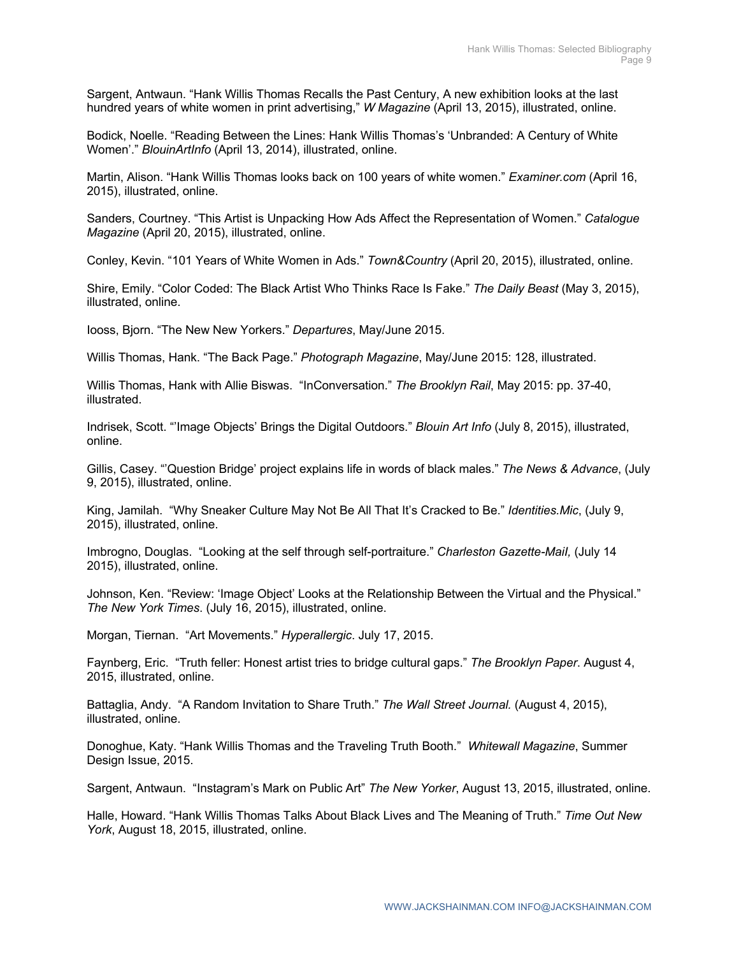Sargent, Antwaun. "Hank Willis Thomas Recalls the Past Century, A new exhibition looks at the last hundred years of white women in print advertising," *W Magazine* (April 13, 2015), illustrated, online.

Bodick, Noelle. "Reading Between the Lines: Hank Willis Thomas's 'Unbranded: A Century of White Women'." *BlouinArtInfo* (April 13, 2014), illustrated, online.

Martin, Alison. "Hank Willis Thomas looks back on 100 years of white women." *Examiner.com* (April 16, 2015), illustrated, online.

Sanders, Courtney. "This Artist is Unpacking How Ads Affect the Representation of Women." *Catalogue Magazine* (April 20, 2015), illustrated, online.

Conley, Kevin. "101 Years of White Women in Ads." *Town&Country* (April 20, 2015), illustrated, online.

Shire, Emily. "Color Coded: The Black Artist Who Thinks Race Is Fake." *The Daily Beast* (May 3, 2015), illustrated, online.

Iooss, Bjorn. "The New New Yorkers." *Departures*, May/June 2015.

Willis Thomas, Hank. "The Back Page." *Photograph Magazine*, May/June 2015: 128, illustrated.

Willis Thomas, Hank with Allie Biswas. "InConversation." *The Brooklyn Rail*, May 2015: pp. 37-40, illustrated.

Indrisek, Scott. "'Image Objects' Brings the Digital Outdoors." *Blouin Art Info* (July 8, 2015), illustrated, online.

Gillis, Casey. "'Question Bridge' project explains life in words of black males." *The News & Advance*, (July 9, 2015), illustrated, online.

King, Jamilah. "Why Sneaker Culture May Not Be All That It's Cracked to Be." *Identities.Mic*, (July 9, 2015), illustrated, online.

Imbrogno, Douglas. "Looking at the self through self-portraiture." *Charleston Gazette-MaiI,* (July 14 2015), illustrated, online.

Johnson, Ken. "Review: 'Image Object' Looks at the Relationship Between the Virtual and the Physical." *The New York Times*. (July 16, 2015), illustrated, online.

Morgan, Tiernan. "Art Movements." *Hyperallergic*. July 17, 2015.

Faynberg, Eric. "Truth feller: Honest artist tries to bridge cultural gaps." *The Brooklyn Paper*. August 4, 2015, illustrated, online.

Battaglia, Andy. "A Random Invitation to Share Truth." *The Wall Street Journal.* (August 4, 2015), illustrated, online.

Donoghue, Katy. "Hank Willis Thomas and the Traveling Truth Booth." *Whitewall Magazine*, Summer Design Issue, 2015.

Sargent, Antwaun. "Instagram's Mark on Public Art" *The New Yorker*, August 13, 2015, illustrated, online.

Halle, Howard. "Hank Willis Thomas Talks About Black Lives and The Meaning of Truth." *Time Out New York*, August 18, 2015, illustrated, online.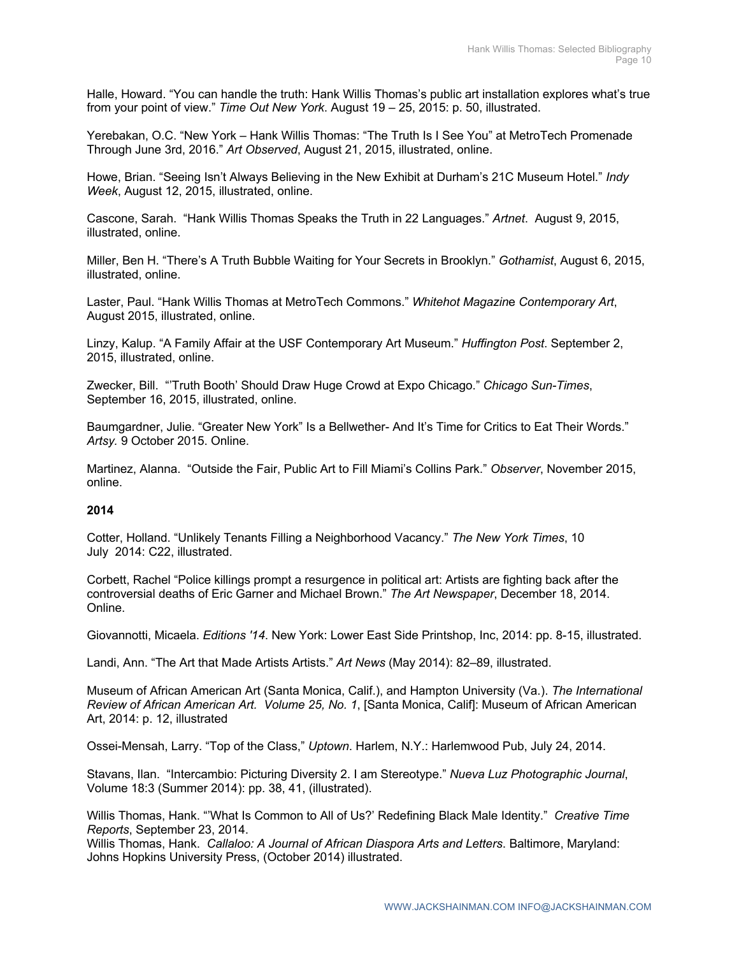Halle, Howard. "You can handle the truth: Hank Willis Thomas's public art installation explores what's true from your point of view." *Time Out New York*. August 19 – 25, 2015: p. 50, illustrated.

Yerebakan, O.C. "New York – Hank Willis Thomas: "The Truth Is I See You" at MetroTech Promenade Through June 3rd, 2016." *Art Observed*, August 21, 2015, illustrated, online.

Howe, Brian. "Seeing Isn't Always Believing in the New Exhibit at Durham's 21C Museum Hotel." *Indy Week*, August 12, 2015, illustrated, online.

Cascone, Sarah. "Hank Willis Thomas Speaks the Truth in 22 Languages." *Artnet*. August 9, 2015, illustrated, online.

Miller, Ben H. "There's A Truth Bubble Waiting for Your Secrets in Brooklyn." *Gothamist*, August 6, 2015, illustrated, online.

Laster, Paul. "Hank Willis Thomas at MetroTech Commons." *Whitehot Magazin*e *Contemporary Art*, August 2015, illustrated, online.

Linzy, Kalup. "A Family Affair at the USF Contemporary Art Museum." *Huffington Post*. September 2, 2015, illustrated, online.

Zwecker, Bill. "'Truth Booth' Should Draw Huge Crowd at Expo Chicago." *Chicago Sun-Times*, September 16, 2015, illustrated, online.

Baumgardner, Julie. "Greater New York" Is a Bellwether- And It's Time for Critics to Eat Their Words." *Artsy.* 9 October 2015. Online.

Martinez, Alanna. "Outside the Fair, Public Art to Fill Miami's Collins Park." *Observer*, November 2015, online.

#### **2014**

Cotter, Holland. "Unlikely Tenants Filling a Neighborhood Vacancy." *The New York Times*, 10 July 2014: C22, illustrated.

Corbett, Rachel "Police killings prompt a resurgence in political art: Artists are fighting back after the controversial deaths of Eric Garner and Michael Brown." *The Art Newspaper*, December 18, 2014. Online.

Giovannotti, Micaela. *Editions '14*. New York: Lower East Side Printshop, Inc, 2014: pp. 8-15, illustrated.

Landi, Ann. "The Art that Made Artists Artists." *Art News* (May 2014): 82–89, illustrated.

Museum of African American Art (Santa Monica, Calif.), and Hampton University (Va.). *The International Review of African American Art. Volume 25, No. 1*, [Santa Monica, Calif]: Museum of African American Art, 2014: p. 12, illustrated

Ossei-Mensah, Larry. "Top of the Class," *Uptown*. Harlem, N.Y.: Harlemwood Pub, July 24, 2014.

Stavans, Ilan. "Intercambio: Picturing Diversity 2. I am Stereotype." *Nueva Luz Photographic Journal*, Volume 18:3 (Summer 2014): pp. 38, 41, (illustrated).

Willis Thomas, Hank. "'What Is Common to All of Us?' Redefining Black Male Identity." *Creative Time Reports*, September 23, 2014.

Willis Thomas, Hank. *Callaloo: A Journal of African Diaspora Arts and Letters*. Baltimore, Maryland: Johns Hopkins University Press, (October 2014) illustrated.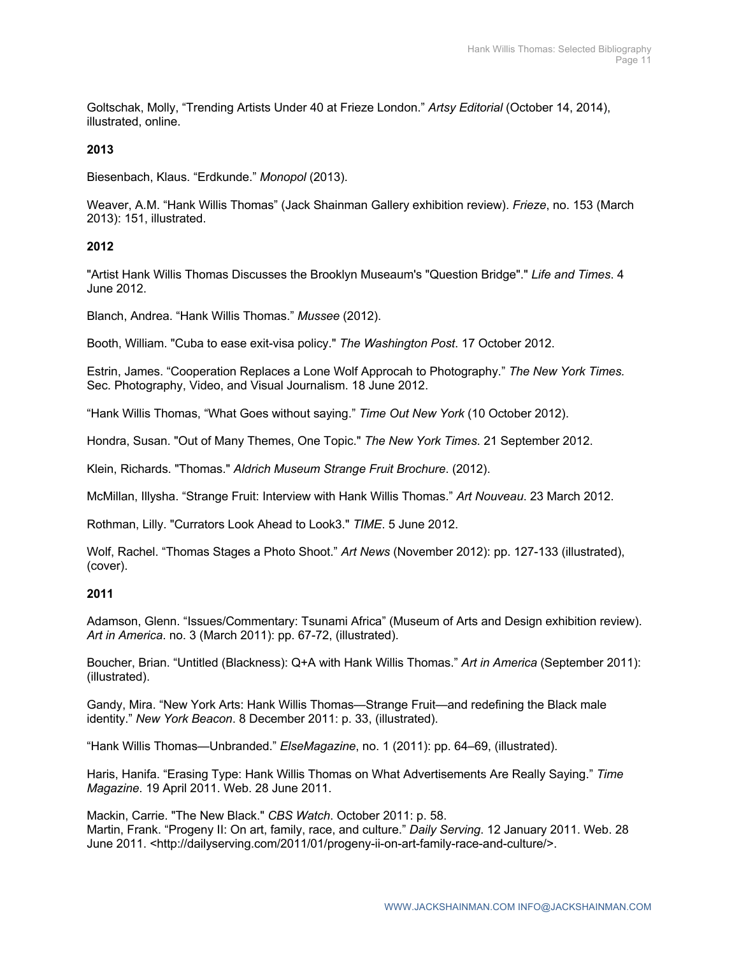Goltschak, Molly, "Trending Artists Under 40 at Frieze London." *Artsy Editorial* (October 14, 2014), illustrated, online.

# **2013**

Biesenbach, Klaus. "Erdkunde." *Monopol* (2013).

Weaver, A.M. "Hank Willis Thomas" (Jack Shainman Gallery exhibition review). *Frieze*, no. 153 (March 2013): 151, illustrated.

# **2012**

"Artist Hank Willis Thomas Discusses the Brooklyn Museaum's "Question Bridge"." *Life and Times*. 4 June 2012.

Blanch, Andrea. "Hank Willis Thomas." *Mussee* (2012).

Booth, William. "Cuba to ease exit-visa policy." *The Washington Post*. 17 October 2012.

Estrin, James. "Cooperation Replaces a Lone Wolf Approcah to Photography." *The New York Times.* Sec. Photography, Video, and Visual Journalism. 18 June 2012.

"Hank Willis Thomas, "What Goes without saying." *Time Out New York* (10 October 2012).

Hondra, Susan. "Out of Many Themes, One Topic." *The New York Times*. 21 September 2012.

Klein, Richards. "Thomas." *Aldrich Museum Strange Fruit Brochure*. (2012).

McMillan, Illysha. "Strange Fruit: Interview with Hank Willis Thomas." *Art Nouveau*. 23 March 2012.

Rothman, Lilly. "Currators Look Ahead to Look3." *TIME*. 5 June 2012.

Wolf, Rachel. "Thomas Stages a Photo Shoot." *Art News* (November 2012): pp. 127-133 (illustrated), (cover).

#### **2011**

Adamson, Glenn. "Issues/Commentary: Tsunami Africa" (Museum of Arts and Design exhibition review). *Art in America*. no. 3 (March 2011): pp. 67-72, (illustrated).

Boucher, Brian. "Untitled (Blackness): Q+A with Hank Willis Thomas." *Art in America* (September 2011): (illustrated).

Gandy, Mira. "New York Arts: Hank Willis Thomas—Strange Fruit—and redefining the Black male identity." *New York Beacon*. 8 December 2011: p. 33, (illustrated).

"Hank Willis Thomas—Unbranded." *ElseMagazine*, no. 1 (2011): pp. 64–69, (illustrated).

Haris, Hanifa. "Erasing Type: Hank Willis Thomas on What Advertisements Are Really Saying." *Time Magazine*. 19 April 2011. Web. 28 June 2011.

Mackin, Carrie. "The New Black." *CBS Watch*. October 2011: p. 58. Martin, Frank. "Progeny II: On art, family, race, and culture." *Daily Serving*. 12 January 2011. Web. 28 June 2011. <http://dailyserving.com/2011/01/progeny-ii-on-art-family-race-and-culture/>.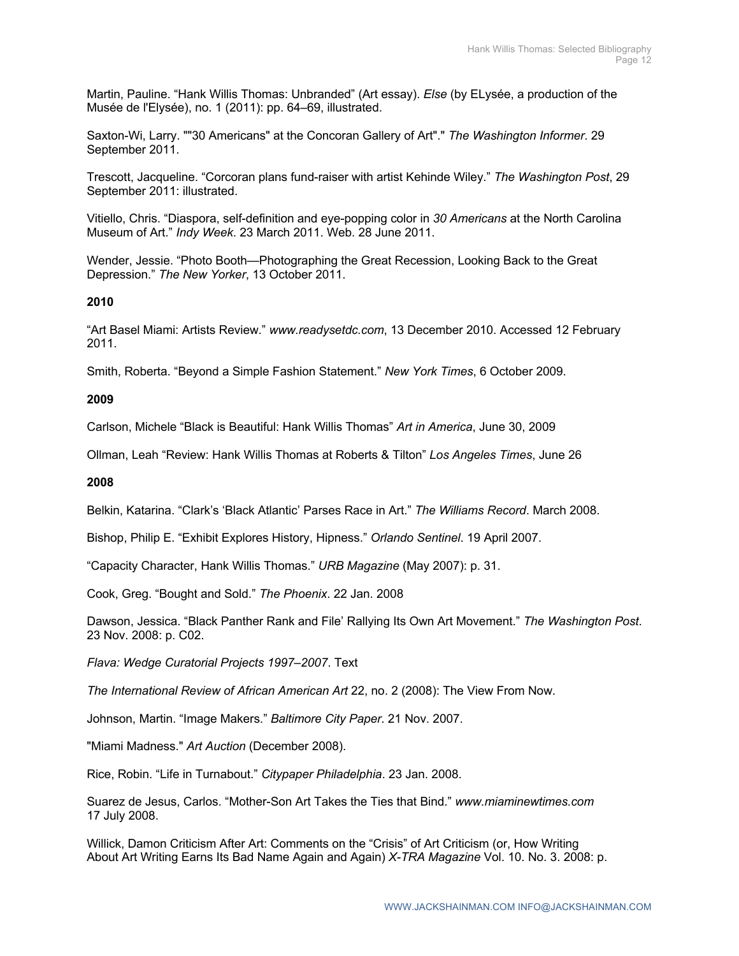Martin, Pauline. "Hank Willis Thomas: Unbranded" (Art essay). *Else* (by ELysée, a production of the Musée de l'Elysée), no. 1 (2011): pp. 64–69, illustrated.

Saxton-Wi, Larry. ""30 Americans" at the Concoran Gallery of Art"." *The Washington Informer*. 29 September 2011.

Trescott, Jacqueline. "Corcoran plans fund-raiser with artist Kehinde Wiley." *The Washington Post*, 29 September 2011: illustrated.

Vitiello, Chris. "Diaspora, self-definition and eye-popping color in *30 Americans* at the North Carolina Museum of Art." *Indy Week*. 23 March 2011. Web. 28 June 2011.

Wender, Jessie. "Photo Booth—Photographing the Great Recession, Looking Back to the Great Depression." *The New Yorker*, 13 October 2011.

# **2010**

"Art Basel Miami: Artists Review." *www.readysetdc.com*, 13 December 2010. Accessed 12 February 2011.

Smith, Roberta. "Beyond a Simple Fashion Statement." *New York Times*, 6 October 2009.

# **2009**

Carlson, Michele "Black is Beautiful: Hank Willis Thomas" *Art in America*, June 30, 2009

Ollman, Leah "Review: Hank Willis Thomas at Roberts & Tilton" *Los Angeles Times*, June 26

### **2008**

Belkin, Katarina. "Clark's 'Black Atlantic' Parses Race in Art." *The Williams Record*. March 2008.

Bishop, Philip E. "Exhibit Explores History, Hipness." *Orlando Sentinel*. 19 April 2007.

"Capacity Character, Hank Willis Thomas." *URB Magazine* (May 2007): p. 31.

Cook, Greg. "Bought and Sold." *The Phoenix*. 22 Jan. 2008

Dawson, Jessica. "Black Panther Rank and File' Rallying Its Own Art Movement." *The Washington Post*. 23 Nov. 2008: p. C02.

*Flava: Wedge Curatorial Projects 1997–2007*. Text

*The International Review of African American Art* 22, no. 2 (2008): The View From Now.

Johnson, Martin. "Image Makers." *Baltimore City Paper*. 21 Nov. 2007.

"Miami Madness." *Art Auction* (December 2008).

Rice, Robin. "Life in Turnabout." *Citypaper Philadelphia*. 23 Jan. 2008.

Suarez de Jesus, Carlos. "Mother-Son Art Takes the Ties that Bind." *www.miaminewtimes.com* 17 July 2008.

Willick, Damon Criticism After Art: Comments on the "Crisis" of Art Criticism (or, How Writing About Art Writing Earns Its Bad Name Again and Again) *X-TRA Magazine* Vol. 10. No. 3. 2008: p.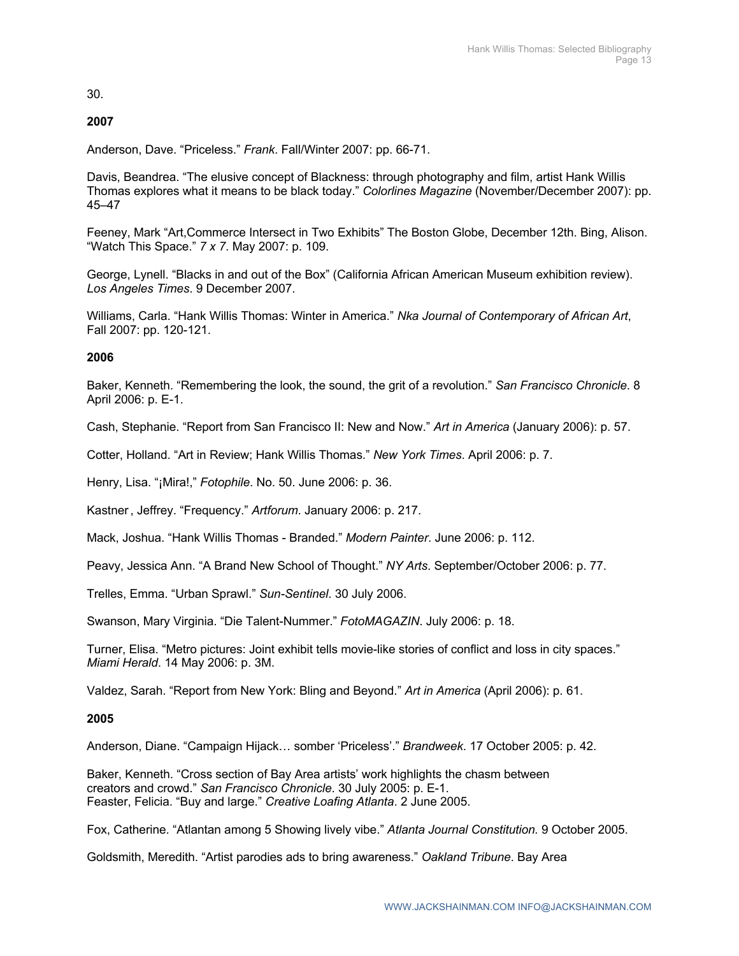30.

# **2007**

Anderson, Dave. "Priceless." *Frank*. Fall/Winter 2007: pp. 66-71.

Davis, Beandrea. "The elusive concept of Blackness: through photography and film, artist Hank Willis Thomas explores what it means to be black today." *Colorlines Magazine* (November/December 2007): pp. 45–47

Feeney, Mark "Art,Commerce Intersect in Two Exhibits" The Boston Globe, December 12th. Bing, Alison. "Watch This Space." *7 x 7*. May 2007: p. 109.

George, Lynell. "Blacks in and out of the Box" (California African American Museum exhibition review). *Los Angeles Times*. 9 December 2007.

Williams, Carla. "Hank Willis Thomas: Winter in America." *Nka Journal of Contemporary of African Art*, Fall 2007: pp. 120-121.

# **2006**

Baker, Kenneth. "Remembering the look, the sound, the grit of a revolution." *San Francisco Chronicle*. 8 April 2006: p. E-1.

Cash, Stephanie. "Report from San Francisco II: New and Now." *Art in America* (January 2006): p. 57.

Cotter, Holland. "Art in Review; Hank Willis Thomas." *New York Times*. April 2006: p. 7.

Henry, Lisa. "¡Mira!," *Fotophile*. No. 50. June 2006: p. 36.

Kastner, Jeffrey. "Frequency." *Artforum*. January 2006: p. 217.

Mack, Joshua. "Hank Willis Thomas - Branded." *Modern Painter*. June 2006: p. 112.

Peavy, Jessica Ann. "A Brand New School of Thought." *NY Arts*. September/October 2006: p. 77.

Trelles, Emma. "Urban Sprawl." *Sun-Sentinel*. 30 July 2006.

Swanson, Mary Virginia. "Die Talent-Nummer." *FotoMAGAZIN*. July 2006: p. 18.

Turner, Elisa. "Metro pictures: Joint exhibit tells movie-like stories of conflict and loss in city spaces." *Miami Herald*. 14 May 2006: p. 3M.

Valdez, Sarah. "Report from New York: Bling and Beyond." *Art in America* (April 2006): p. 61.

#### **2005**

Anderson, Diane. "Campaign Hijack… somber 'Priceless'." *Brandweek*. 17 October 2005: p. 42.

Baker, Kenneth. "Cross section of Bay Area artists' work highlights the chasm between creators and crowd." *San Francisco Chronicle*. 30 July 2005: p. E-1. Feaster, Felicia. "Buy and large." *Creative Loafing Atlanta*. 2 June 2005.

Fox, Catherine. "Atlantan among 5 Showing lively vibe." *Atlanta Journal Constitution.* 9 October 2005.

Goldsmith, Meredith. "Artist parodies ads to bring awareness." *Oakland Tribune*. Bay Area